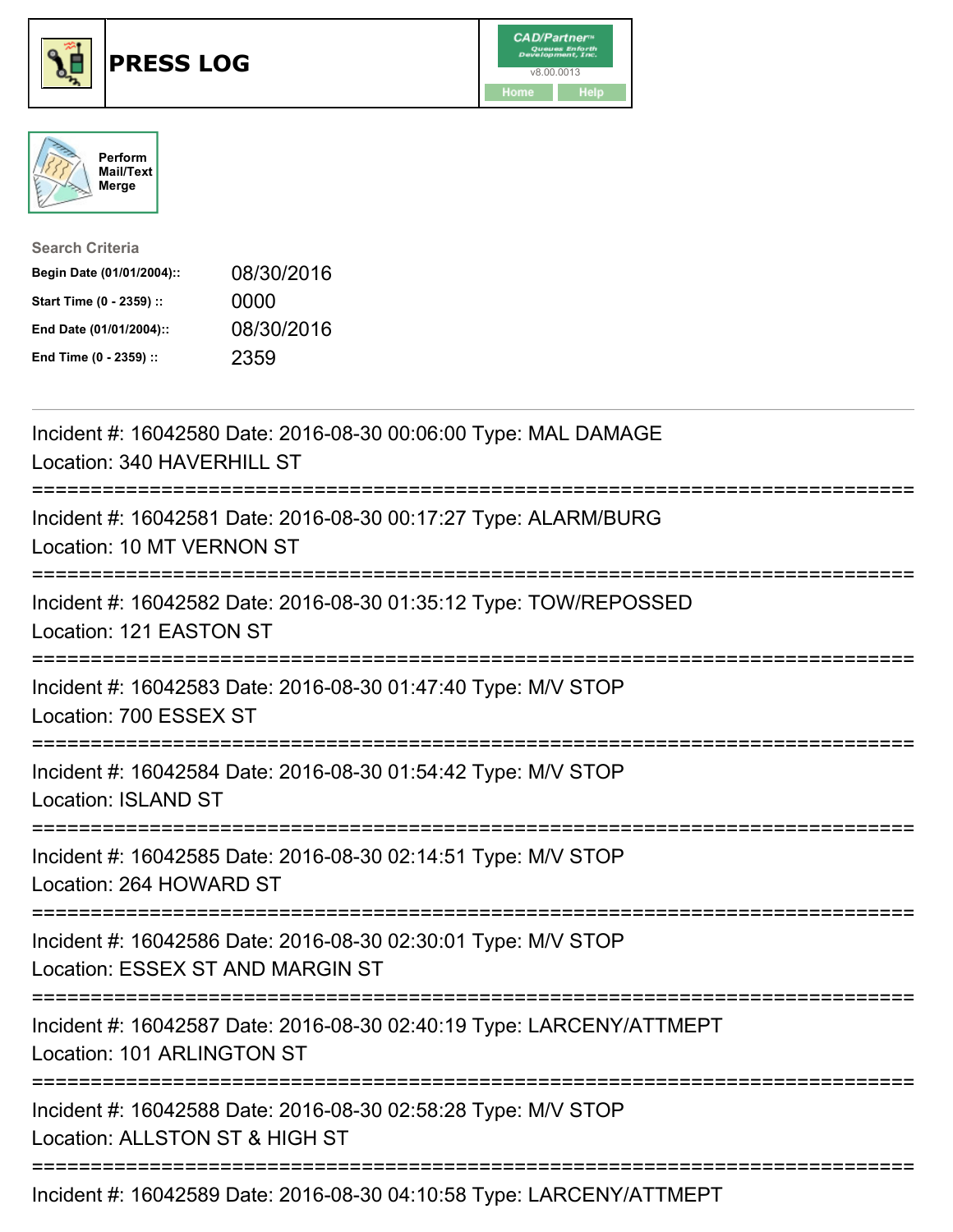





| <b>Search Criteria</b>    |            |
|---------------------------|------------|
| Begin Date (01/01/2004):: | 08/30/2016 |
| Start Time (0 - 2359) ::  | 0000       |
| End Date (01/01/2004)::   | 08/30/2016 |
| End Time (0 - 2359) ::    | 2359       |

| Incident #: 16042580 Date: 2016-08-30 00:06:00 Type: MAL DAMAGE<br>Location: 340 HAVERHILL ST                                   |
|---------------------------------------------------------------------------------------------------------------------------------|
| Incident #: 16042581 Date: 2016-08-30 00:17:27 Type: ALARM/BURG<br>Location: 10 MT VERNON ST                                    |
| Incident #: 16042582 Date: 2016-08-30 01:35:12 Type: TOW/REPOSSED<br>Location: 121 EASTON ST                                    |
| Incident #: 16042583 Date: 2016-08-30 01:47:40 Type: M/V STOP<br>Location: 700 ESSEX ST                                         |
| Incident #: 16042584 Date: 2016-08-30 01:54:42 Type: M/V STOP<br><b>Location: ISLAND ST</b>                                     |
| Incident #: 16042585 Date: 2016-08-30 02:14:51 Type: M/V STOP<br>Location: 264 HOWARD ST                                        |
| Incident #: 16042586 Date: 2016-08-30 02:30:01 Type: M/V STOP<br>Location: ESSEX ST AND MARGIN ST<br>;========================= |
| Incident #: 16042587 Date: 2016-08-30 02:40:19 Type: LARCENY/ATTMEPT<br>Location: 101 ARLINGTON ST<br>---------------------     |
| Incident #: 16042588 Date: 2016-08-30 02:58:28 Type: M/V STOP<br>Location: ALLSTON ST & HIGH ST                                 |
| Incident #: 16042589 Date: 2016-08-30 04:10:58 Type: LARCENY/ATTMEPT                                                            |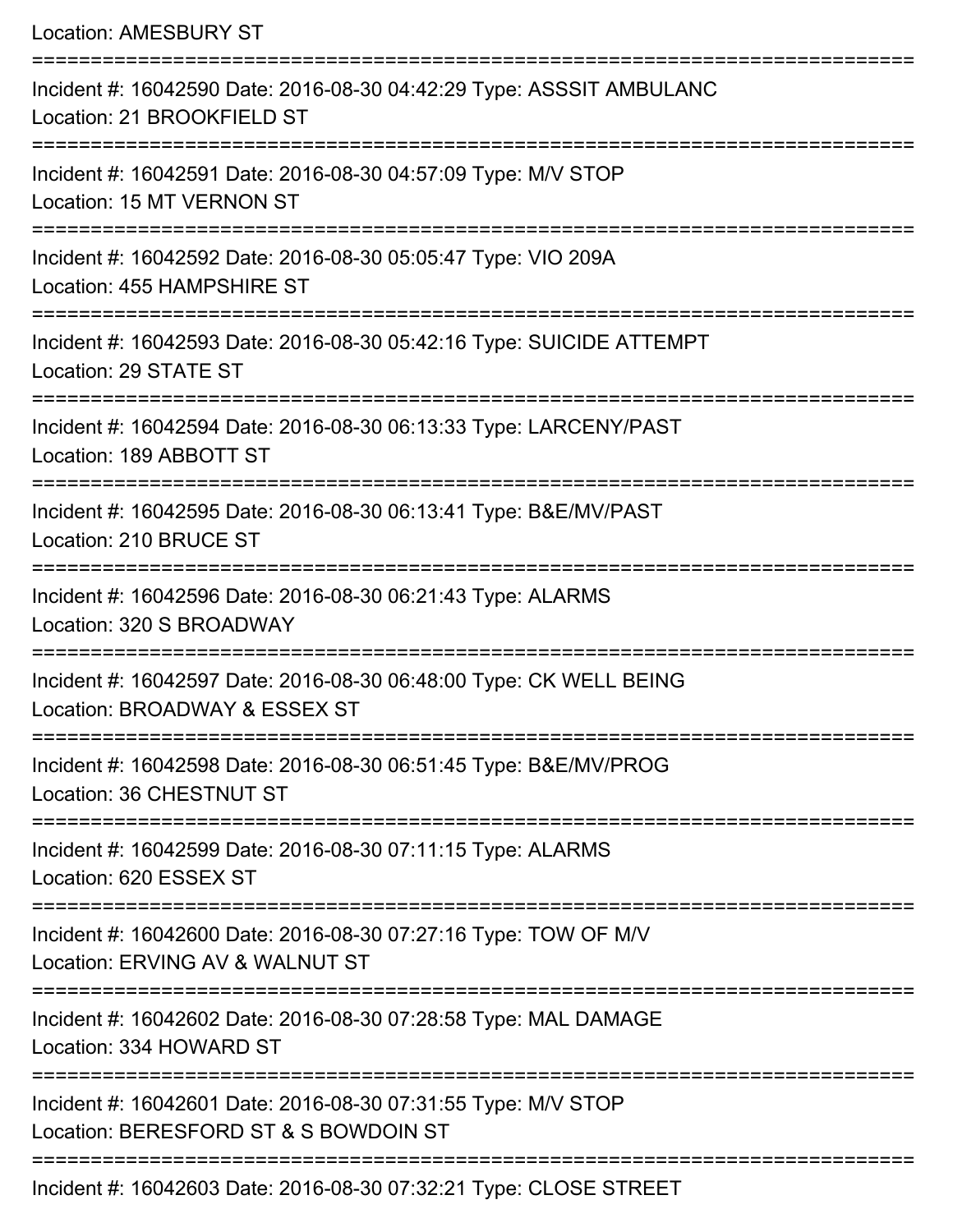| <b>Location: AMESBURY ST</b>                                                                                        |
|---------------------------------------------------------------------------------------------------------------------|
| Incident #: 16042590 Date: 2016-08-30 04:42:29 Type: ASSSIT AMBULANC<br>Location: 21 BROOKFIELD ST                  |
| Incident #: 16042591 Date: 2016-08-30 04:57:09 Type: M/V STOP<br>Location: 15 MT VERNON ST                          |
| Incident #: 16042592 Date: 2016-08-30 05:05:47 Type: VIO 209A<br>Location: 455 HAMPSHIRE ST                         |
| :=================<br>Incident #: 16042593 Date: 2016-08-30 05:42:16 Type: SUICIDE ATTEMPT<br>Location: 29 STATE ST |
| Incident #: 16042594 Date: 2016-08-30 06:13:33 Type: LARCENY/PAST<br>Location: 189 ABBOTT ST                        |
| Incident #: 16042595 Date: 2016-08-30 06:13:41 Type: B&E/MV/PAST<br>Location: 210 BRUCE ST                          |
| Incident #: 16042596 Date: 2016-08-30 06:21:43 Type: ALARMS<br>Location: 320 S BROADWAY                             |
| Incident #: 16042597 Date: 2016-08-30 06:48:00 Type: CK WELL BEING<br>Location: BROADWAY & ESSEX ST                 |
| Incident #: 16042598 Date: 2016-08-30 06:51:45 Type: B&E/MV/PROG<br>Location: 36 CHESTNUT ST                        |
| Incident #: 16042599 Date: 2016-08-30 07:11:15 Type: ALARMS<br>Location: 620 ESSEX ST                               |
| Incident #: 16042600 Date: 2016-08-30 07:27:16 Type: TOW OF M/V<br>Location: ERVING AV & WALNUT ST                  |
| Incident #: 16042602 Date: 2016-08-30 07:28:58 Type: MAL DAMAGE<br>Location: 334 HOWARD ST                          |
| Incident #: 16042601 Date: 2016-08-30 07:31:55 Type: M/V STOP<br>Location: BERESFORD ST & S BOWDOIN ST              |
| Incident #: 16042603 Date: 2016-08-30 07:32:21 Type: CLOSE STREET                                                   |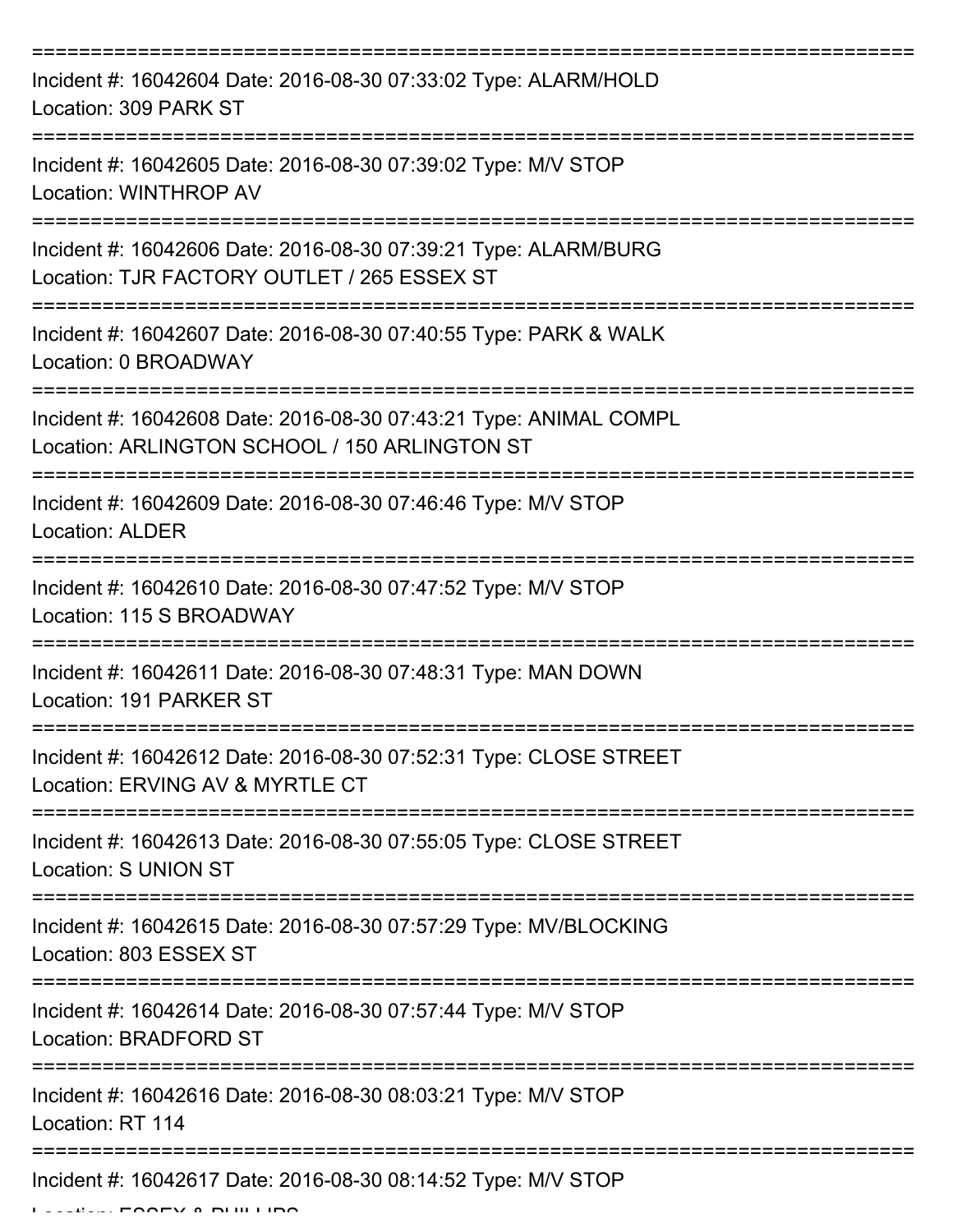| Incident #: 16042604 Date: 2016-08-30 07:33:02 Type: ALARM/HOLD<br>Location: 309 PARK ST                           |
|--------------------------------------------------------------------------------------------------------------------|
| Incident #: 16042605 Date: 2016-08-30 07:39:02 Type: M/V STOP<br>Location: WINTHROP AV                             |
| Incident #: 16042606 Date: 2016-08-30 07:39:21 Type: ALARM/BURG<br>Location: TJR FACTORY OUTLET / 265 ESSEX ST     |
| Incident #: 16042607 Date: 2016-08-30 07:40:55 Type: PARK & WALK<br>Location: 0 BROADWAY                           |
| Incident #: 16042608 Date: 2016-08-30 07:43:21 Type: ANIMAL COMPL<br>Location: ARLINGTON SCHOOL / 150 ARLINGTON ST |
| Incident #: 16042609 Date: 2016-08-30 07:46:46 Type: M/V STOP<br><b>Location: ALDER</b>                            |
| Incident #: 16042610 Date: 2016-08-30 07:47:52 Type: M/V STOP<br>Location: 115 S BROADWAY                          |
| Incident #: 16042611 Date: 2016-08-30 07:48:31 Type: MAN DOWN<br>Location: 191 PARKER ST                           |
| Incident #: 16042612 Date: 2016-08-30 07:52:31 Type: CLOSE STREET<br>Location: ERVING AV & MYRTLE CT               |
| Incident #: 16042613 Date: 2016-08-30 07:55:05 Type: CLOSE STREET<br><b>Location: S UNION ST</b>                   |
| Incident #: 16042615 Date: 2016-08-30 07:57:29 Type: MV/BLOCKING<br>Location: 803 ESSEX ST                         |
| Incident #: 16042614 Date: 2016-08-30 07:57:44 Type: M/V STOP<br>Location: BRADFORD ST                             |
| Incident #: 16042616 Date: 2016-08-30 08:03:21 Type: M/V STOP<br>Location: RT 114                                  |
| --------------------------<br>Incident #: 16042617 Date: 2016-08-30 08:14:52 Type: M/V STOP                        |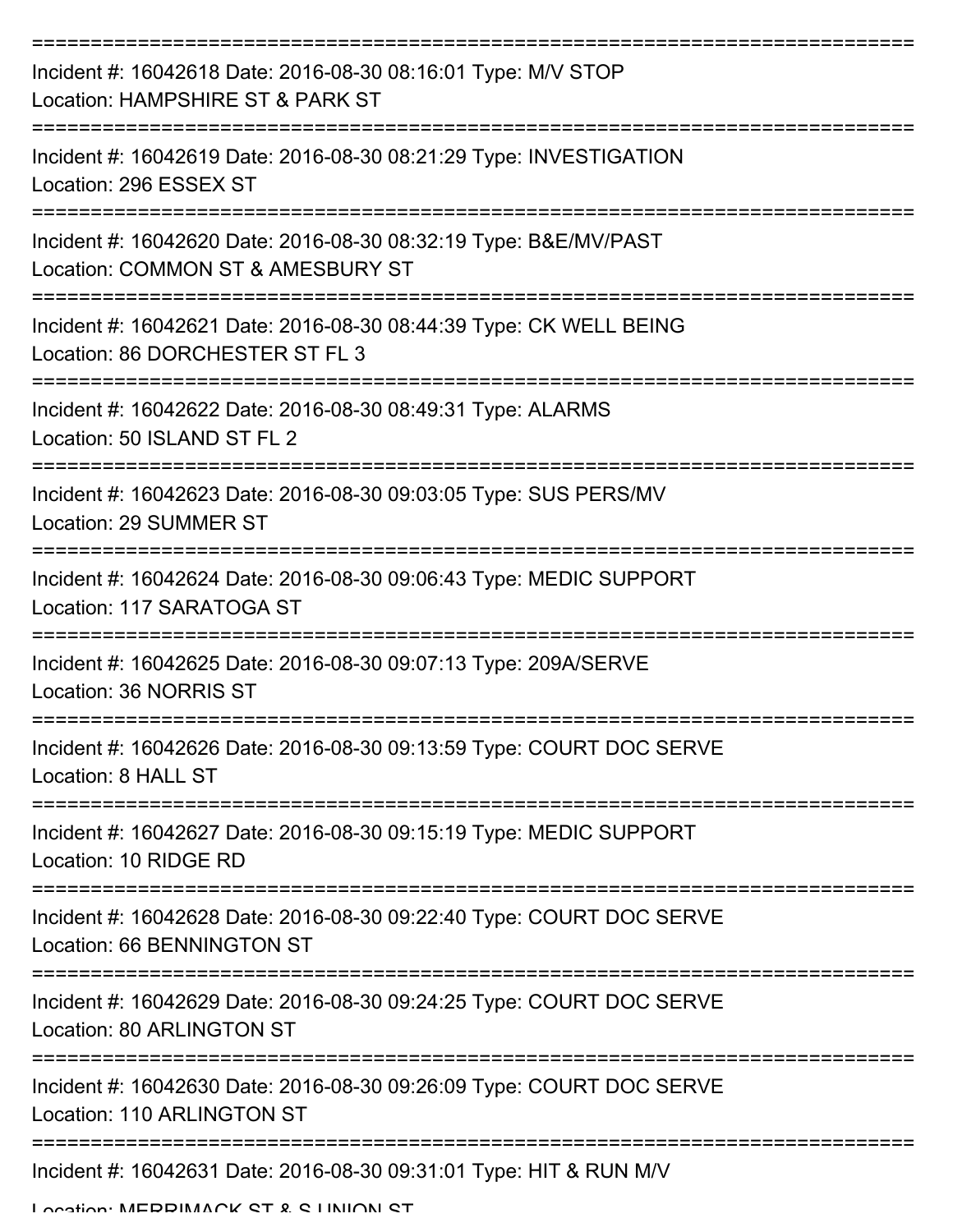| Incident #: 16042618 Date: 2016-08-30 08:16:01 Type: M/V STOP<br>Location: HAMPSHIRE ST & PARK ST        |
|----------------------------------------------------------------------------------------------------------|
| Incident #: 16042619 Date: 2016-08-30 08:21:29 Type: INVESTIGATION<br>Location: 296 ESSEX ST             |
| Incident #: 16042620 Date: 2016-08-30 08:32:19 Type: B&E/MV/PAST<br>Location: COMMON ST & AMESBURY ST    |
| Incident #: 16042621 Date: 2016-08-30 08:44:39 Type: CK WELL BEING<br>Location: 86 DORCHESTER ST FL 3    |
| Incident #: 16042622 Date: 2016-08-30 08:49:31 Type: ALARMS<br>Location: 50 ISLAND ST FL 2               |
| Incident #: 16042623 Date: 2016-08-30 09:03:05 Type: SUS PERS/MV<br>Location: 29 SUMMER ST               |
| Incident #: 16042624 Date: 2016-08-30 09:06:43 Type: MEDIC SUPPORT<br>Location: 117 SARATOGA ST          |
| Incident #: 16042625 Date: 2016-08-30 09:07:13 Type: 209A/SERVE<br>Location: 36 NORRIS ST                |
| Incident #: 16042626 Date: 2016-08-30 09:13:59 Type: COURT DOC SERVE<br>Location: 8 HALL ST              |
| Incident #: 16042627 Date: 2016-08-30 09:15:19 Type: MEDIC SUPPORT<br>Location: 10 RIDGE RD              |
| Incident #: 16042628 Date: 2016-08-30 09:22:40 Type: COURT DOC SERVE<br>Location: 66 BENNINGTON ST       |
| Incident #: 16042629 Date: 2016-08-30 09:24:25 Type: COURT DOC SERVE<br><b>Location: 80 ARLINGTON ST</b> |
| Incident #: 16042630 Date: 2016-08-30 09:26:09 Type: COURT DOC SERVE<br>Location: 110 ARLINGTON ST       |
| Incident #: 16042631 Date: 2016-08-30 09:31:01 Type: HIT & RUN M/V                                       |

Location: MEDDIMACK CT & C LINIION CT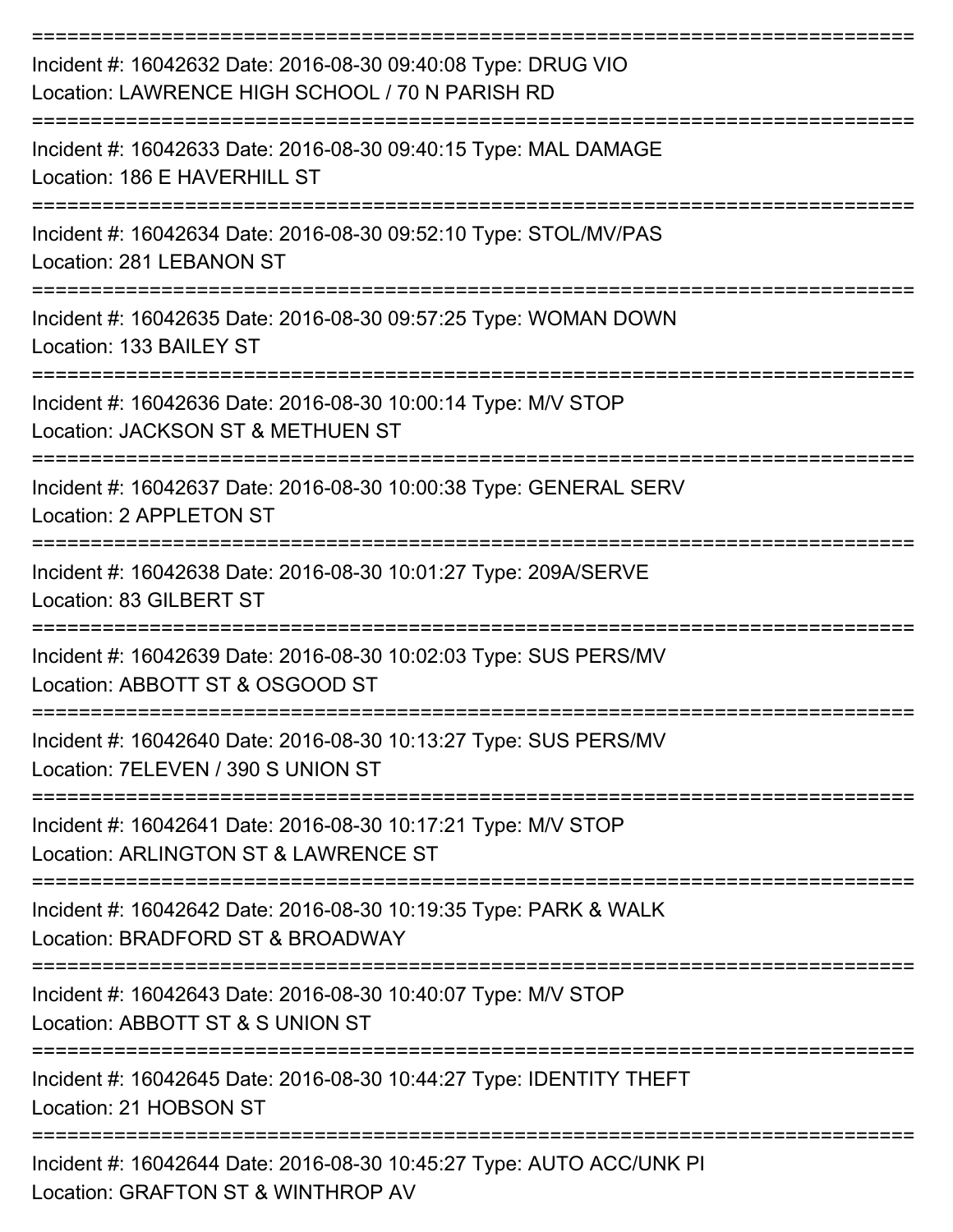| Incident #: 16042632 Date: 2016-08-30 09:40:08 Type: DRUG VIO<br>Location: LAWRENCE HIGH SCHOOL / 70 N PARISH RD |
|------------------------------------------------------------------------------------------------------------------|
| Incident #: 16042633 Date: 2016-08-30 09:40:15 Type: MAL DAMAGE<br>Location: 186 E HAVERHILL ST                  |
| Incident #: 16042634 Date: 2016-08-30 09:52:10 Type: STOL/MV/PAS<br>Location: 281 LEBANON ST                     |
| Incident #: 16042635 Date: 2016-08-30 09:57:25 Type: WOMAN DOWN<br>Location: 133 BAILEY ST                       |
| Incident #: 16042636 Date: 2016-08-30 10:00:14 Type: M/V STOP<br>Location: JACKSON ST & METHUEN ST               |
| Incident #: 16042637 Date: 2016-08-30 10:00:38 Type: GENERAL SERV<br>Location: 2 APPLETON ST                     |
| Incident #: 16042638 Date: 2016-08-30 10:01:27 Type: 209A/SERVE<br>Location: 83 GILBERT ST                       |
| Incident #: 16042639 Date: 2016-08-30 10:02:03 Type: SUS PERS/MV<br>Location: ABBOTT ST & OSGOOD ST              |
| Incident #: 16042640 Date: 2016-08-30 10:13:27 Type: SUS PERS/MV<br>Location: 7ELEVEN / 390 S UNION ST           |
| Incident #: 16042641 Date: 2016-08-30 10:17:21 Type: M/V STOP<br>Location: ARLINGTON ST & LAWRENCE ST            |
| Incident #: 16042642 Date: 2016-08-30 10:19:35 Type: PARK & WALK<br>Location: BRADFORD ST & BROADWAY             |
| Incident #: 16042643 Date: 2016-08-30 10:40:07 Type: M/V STOP<br>Location: ABBOTT ST & S UNION ST                |
| Incident #: 16042645 Date: 2016-08-30 10:44:27 Type: IDENTITY THEFT<br>Location: 21 HOBSON ST                    |
| Incident #: 16042644 Date: 2016-08-30 10:45:27 Type: AUTO ACC/UNK PI<br>COAFTON CT & WINTHOOD AV                 |

Location: GRAFTON ST & WINTHROP AV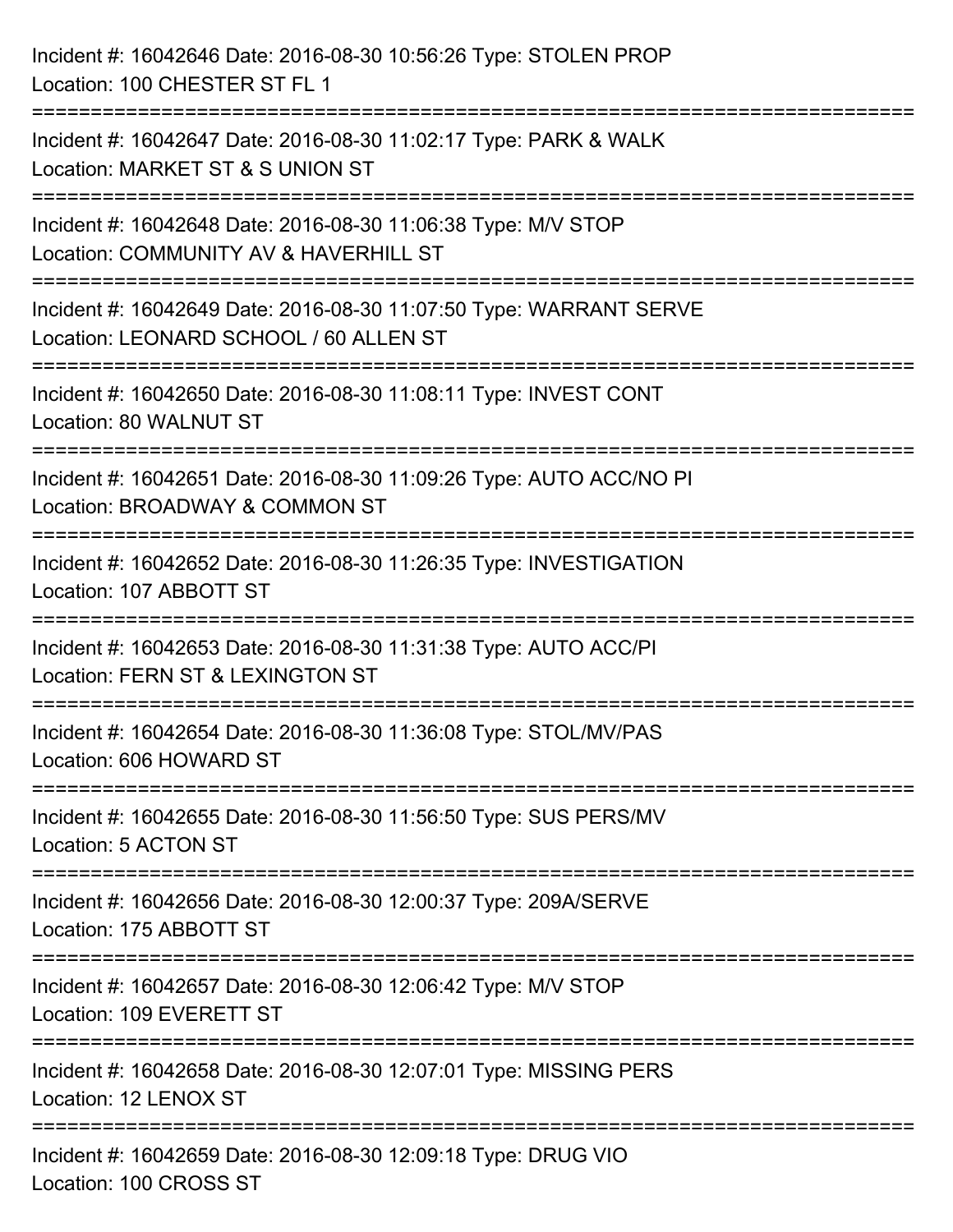| Incident #: 16042646 Date: 2016-08-30 10:56:26 Type: STOLEN PROP<br>Location: 100 CHESTER ST FL 1                                            |
|----------------------------------------------------------------------------------------------------------------------------------------------|
| ==========================<br>Incident #: 16042647 Date: 2016-08-30 11:02:17 Type: PARK & WALK<br>Location: MARKET ST & S UNION ST           |
| Incident #: 16042648 Date: 2016-08-30 11:06:38 Type: M/V STOP<br>Location: COMMUNITY AV & HAVERHILL ST<br>================================== |
| Incident #: 16042649 Date: 2016-08-30 11:07:50 Type: WARRANT SERVE<br>Location: LEONARD SCHOOL / 60 ALLEN ST                                 |
| Incident #: 16042650 Date: 2016-08-30 11:08:11 Type: INVEST CONT<br>Location: 80 WALNUT ST<br>-----------------------------                  |
| Incident #: 16042651 Date: 2016-08-30 11:09:26 Type: AUTO ACC/NO PI<br>Location: BROADWAY & COMMON ST                                        |
| Incident #: 16042652 Date: 2016-08-30 11:26:35 Type: INVESTIGATION<br>Location: 107 ABBOTT ST                                                |
| Incident #: 16042653 Date: 2016-08-30 11:31:38 Type: AUTO ACC/PI<br>Location: FERN ST & LEXINGTON ST                                         |
| Incident #: 16042654 Date: 2016-08-30 11:36:08 Type: STOL/MV/PAS<br>Location: 606 HOWARD ST                                                  |
| Incident #: 16042655 Date: 2016-08-30 11:56:50 Type: SUS PERS/MV<br>Location: 5 ACTON ST                                                     |
| Incident #: 16042656 Date: 2016-08-30 12:00:37 Type: 209A/SERVE<br>Location: 175 ABBOTT ST                                                   |
| Incident #: 16042657 Date: 2016-08-30 12:06:42 Type: M/V STOP<br>Location: 109 EVERETT ST                                                    |
| Incident #: 16042658 Date: 2016-08-30 12:07:01 Type: MISSING PERS<br>Location: 12 LENOX ST                                                   |
| Incident #: 16042659 Date: 2016-08-30 12:09:18 Type: DRUG VIO<br>Location: 100 CROSS ST                                                      |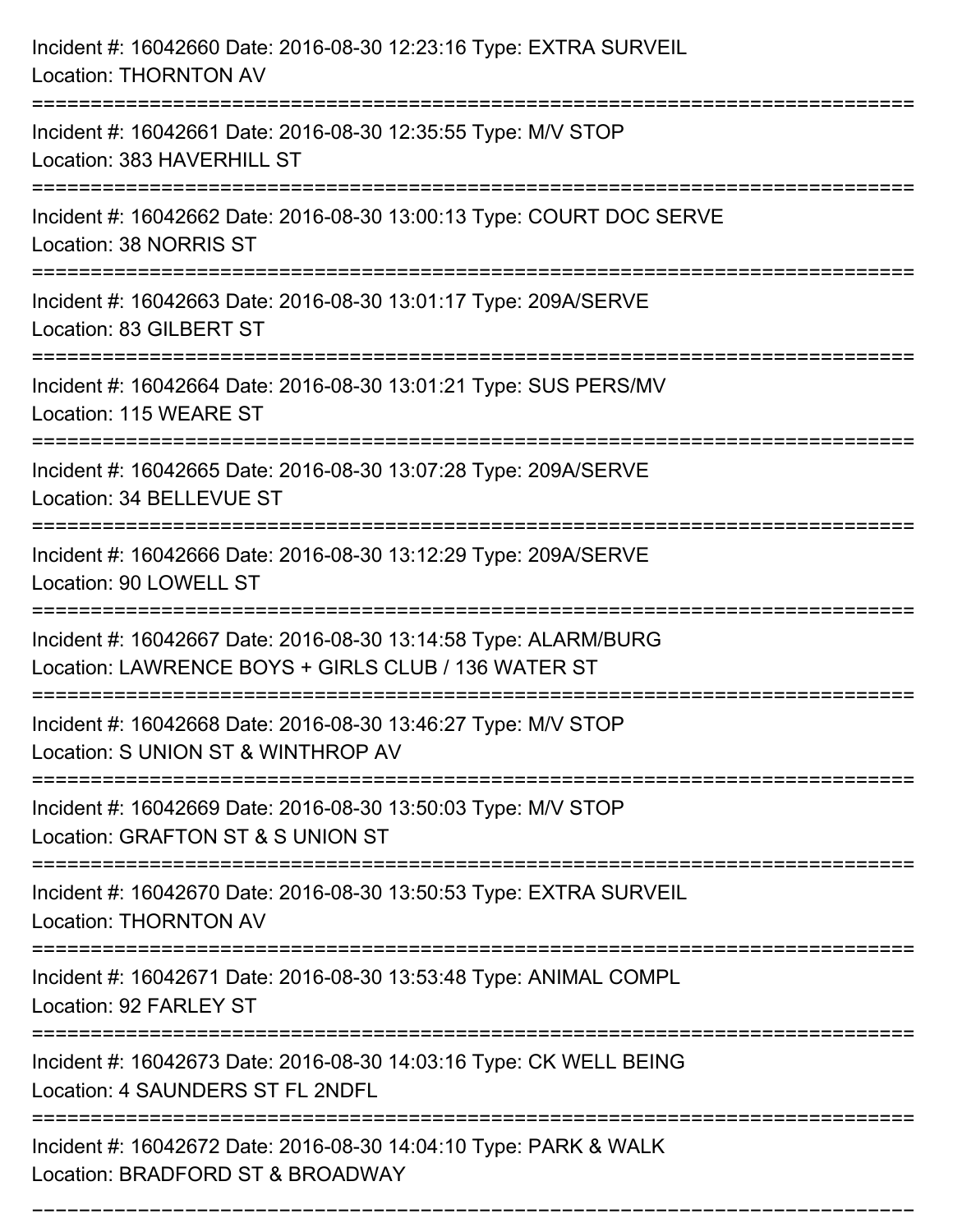| Incident #: 16042660 Date: 2016-08-30 12:23:16 Type: EXTRA SURVEIL<br><b>Location: THORNTON AV</b>                     |
|------------------------------------------------------------------------------------------------------------------------|
| Incident #: 16042661 Date: 2016-08-30 12:35:55 Type: M/V STOP<br>Location: 383 HAVERHILL ST                            |
| Incident #: 16042662 Date: 2016-08-30 13:00:13 Type: COURT DOC SERVE<br>Location: 38 NORRIS ST                         |
| Incident #: 16042663 Date: 2016-08-30 13:01:17 Type: 209A/SERVE<br>Location: 83 GILBERT ST                             |
| Incident #: 16042664 Date: 2016-08-30 13:01:21 Type: SUS PERS/MV<br>Location: 115 WEARE ST                             |
| Incident #: 16042665 Date: 2016-08-30 13:07:28 Type: 209A/SERVE<br>Location: 34 BELLEVUE ST                            |
| Incident #: 16042666 Date: 2016-08-30 13:12:29 Type: 209A/SERVE<br>Location: 90 LOWELL ST                              |
| Incident #: 16042667 Date: 2016-08-30 13:14:58 Type: ALARM/BURG<br>Location: LAWRENCE BOYS + GIRLS CLUB / 136 WATER ST |
| Incident #: 16042668 Date: 2016-08-30 13:46:27 Type: M/V STOP<br>Location: S UNION ST & WINTHROP AV                    |
| Incident #: 16042669 Date: 2016-08-30 13:50:03 Type: M/V STOP<br>Location: GRAFTON ST & S UNION ST                     |
| Incident #: 16042670 Date: 2016-08-30 13:50:53 Type: EXTRA SURVEIL<br><b>Location: THORNTON AV</b>                     |
| Incident #: 16042671 Date: 2016-08-30 13:53:48 Type: ANIMAL COMPL<br>Location: 92 FARLEY ST                            |
| Incident #: 16042673 Date: 2016-08-30 14:03:16 Type: CK WELL BEING<br>Location: 4 SAUNDERS ST FL 2NDFL                 |
| Incident #: 16042672 Date: 2016-08-30 14:04:10 Type: PARK & WALK<br>Location: BRADFORD ST & BROADWAY                   |

===========================================================================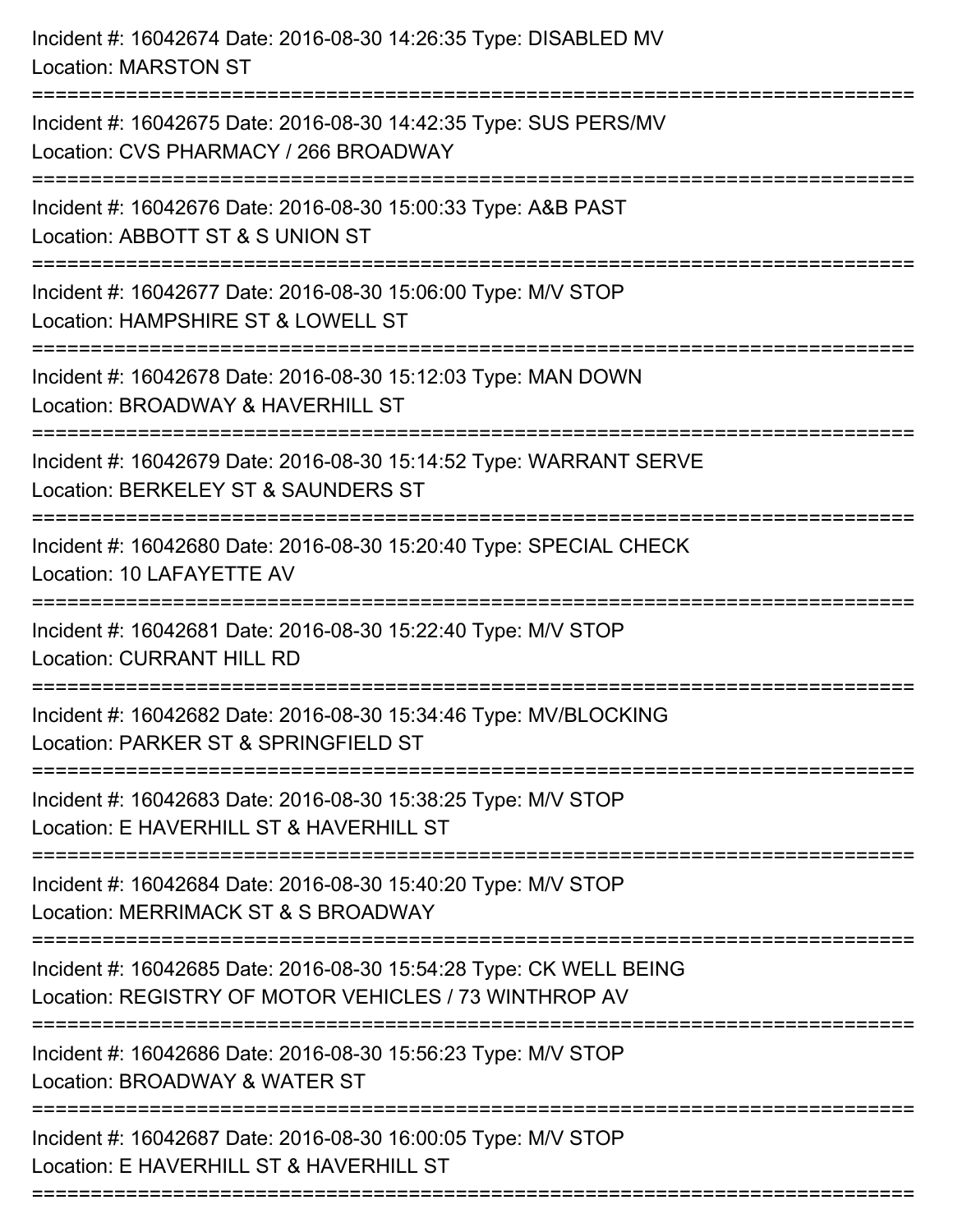| Incident #: 16042674 Date: 2016-08-30 14:26:35 Type: DISABLED MV<br><b>Location: MARSTON ST</b>                             |
|-----------------------------------------------------------------------------------------------------------------------------|
| Incident #: 16042675 Date: 2016-08-30 14:42:35 Type: SUS PERS/MV<br>Location: CVS PHARMACY / 266 BROADWAY                   |
| Incident #: 16042676 Date: 2016-08-30 15:00:33 Type: A&B PAST<br>Location: ABBOTT ST & S UNION ST                           |
| Incident #: 16042677 Date: 2016-08-30 15:06:00 Type: M/V STOP<br>Location: HAMPSHIRE ST & LOWELL ST                         |
| Incident #: 16042678 Date: 2016-08-30 15:12:03 Type: MAN DOWN<br>Location: BROADWAY & HAVERHILL ST<br>===================== |
| Incident #: 16042679 Date: 2016-08-30 15:14:52 Type: WARRANT SERVE<br>Location: BERKELEY ST & SAUNDERS ST                   |
| Incident #: 16042680 Date: 2016-08-30 15:20:40 Type: SPECIAL CHECK<br>Location: 10 LAFAYETTE AV                             |
| Incident #: 16042681 Date: 2016-08-30 15:22:40 Type: M/V STOP<br><b>Location: CURRANT HILL RD</b>                           |
| Incident #: 16042682 Date: 2016-08-30 15:34:46 Type: MV/BLOCKING<br>Location: PARKER ST & SPRINGFIELD ST                    |
| Incident #: 16042683 Date: 2016-08-30 15:38:25 Type: M/V STOP<br>Location: E HAVERHILL ST & HAVERHILL ST                    |
| Incident #: 16042684 Date: 2016-08-30 15:40:20 Type: M/V STOP<br>Location: MERRIMACK ST & S BROADWAY                        |
| Incident #: 16042685 Date: 2016-08-30 15:54:28 Type: CK WELL BEING<br>Location: REGISTRY OF MOTOR VEHICLES / 73 WINTHROP AV |
| Incident #: 16042686 Date: 2016-08-30 15:56:23 Type: M/V STOP<br>Location: BROADWAY & WATER ST                              |
| Incident #: 16042687 Date: 2016-08-30 16:00:05 Type: M/V STOP<br>Location: E HAVERHILL ST & HAVERHILL ST                    |
|                                                                                                                             |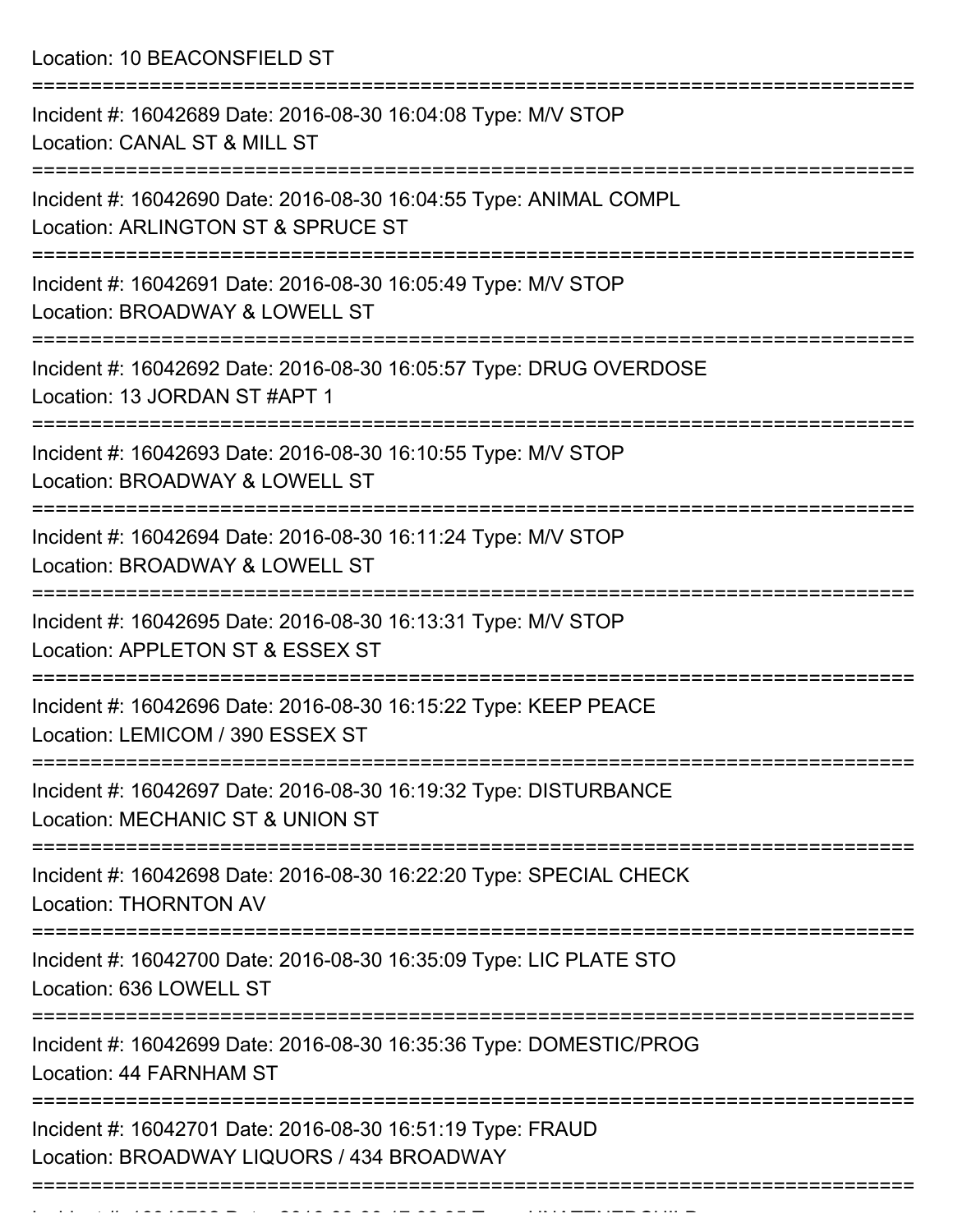Location: 10 BEACONSFIELD ST

| Incident #: 16042689 Date: 2016-08-30 16:04:08 Type: M/V STOP<br>Location: CANAL ST & MILL ST           |
|---------------------------------------------------------------------------------------------------------|
| Incident #: 16042690 Date: 2016-08-30 16:04:55 Type: ANIMAL COMPL<br>Location: ARLINGTON ST & SPRUCE ST |
| Incident #: 16042691 Date: 2016-08-30 16:05:49 Type: M/V STOP<br>Location: BROADWAY & LOWELL ST         |
| Incident #: 16042692 Date: 2016-08-30 16:05:57 Type: DRUG OVERDOSE<br>Location: 13 JORDAN ST #APT 1     |
| Incident #: 16042693 Date: 2016-08-30 16:10:55 Type: M/V STOP<br>Location: BROADWAY & LOWELL ST         |
| Incident #: 16042694 Date: 2016-08-30 16:11:24 Type: M/V STOP<br>Location: BROADWAY & LOWELL ST         |
| Incident #: 16042695 Date: 2016-08-30 16:13:31 Type: M/V STOP<br>Location: APPLETON ST & ESSEX ST       |
| Incident #: 16042696 Date: 2016-08-30 16:15:22 Type: KEEP PEACE<br>Location: LEMICOM / 390 ESSEX ST     |
| Incident #: 16042697 Date: 2016-08-30 16:19:32 Type: DISTURBANCE<br>Location: MECHANIC ST & UNION ST    |
| Incident #: 16042698 Date: 2016-08-30 16:22:20 Type: SPECIAL CHECK<br><b>Location: THORNTON AV</b>      |
| Incident #: 16042700 Date: 2016-08-30 16:35:09 Type: LIC PLATE STO<br>Location: 636 LOWELL ST           |
| Incident #: 16042699 Date: 2016-08-30 16:35:36 Type: DOMESTIC/PROG<br>Location: 44 FARNHAM ST           |
| Incident #: 16042701 Date: 2016-08-30 16:51:19 Type: FRAUD<br>Location: BROADWAY LIQUORS / 434 BROADWAY |
|                                                                                                         |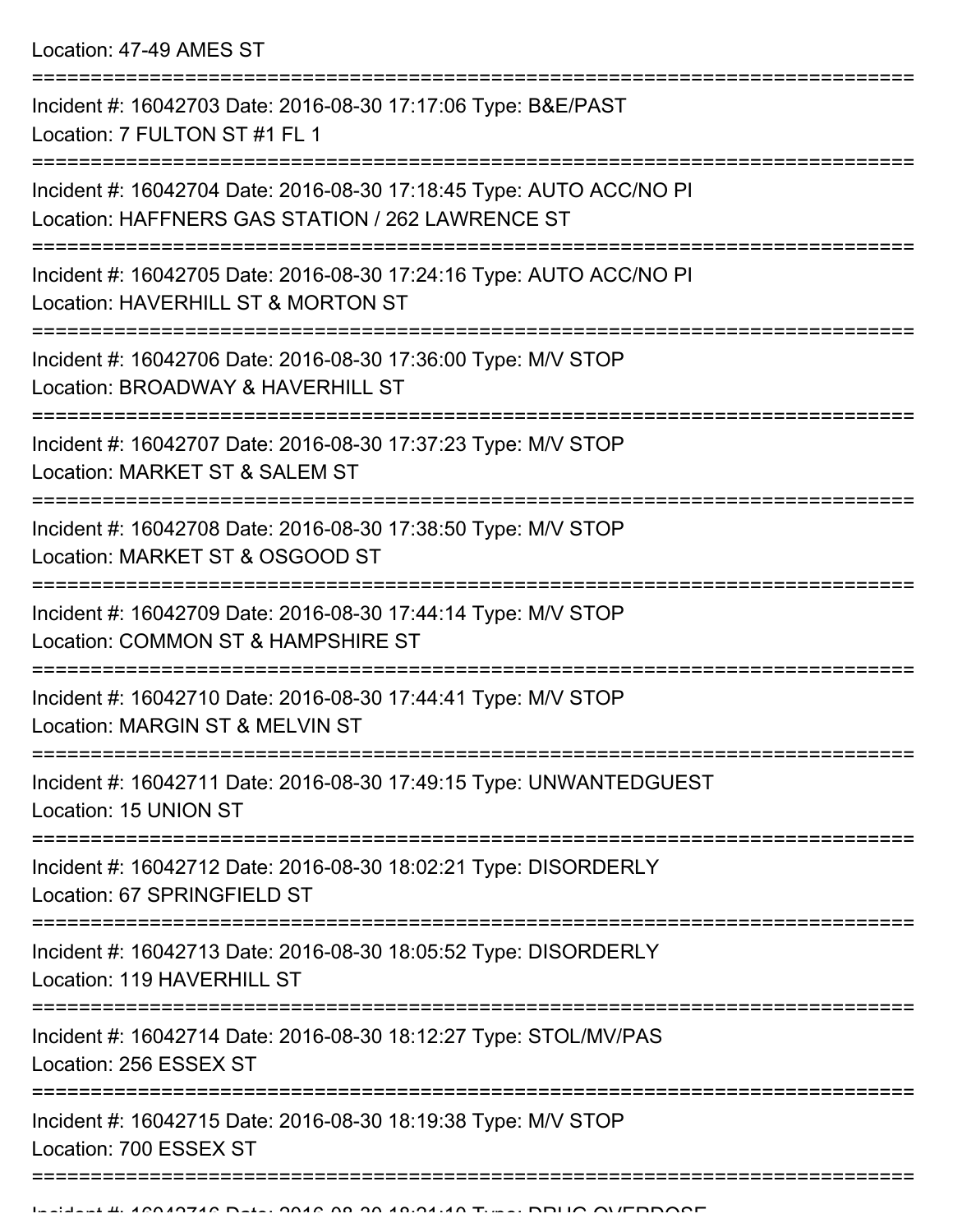Location: 47-49 AMES ST

| Incident #: 16042703 Date: 2016-08-30 17:17:06 Type: B&E/PAST<br>Location: 7 FULTON ST #1 FL 1                          |
|-------------------------------------------------------------------------------------------------------------------------|
| Incident #: 16042704 Date: 2016-08-30 17:18:45 Type: AUTO ACC/NO PI<br>Location: HAFFNERS GAS STATION / 262 LAWRENCE ST |
| Incident #: 16042705 Date: 2016-08-30 17:24:16 Type: AUTO ACC/NO PI<br>Location: HAVERHILL ST & MORTON ST               |
| Incident #: 16042706 Date: 2016-08-30 17:36:00 Type: M/V STOP<br>Location: BROADWAY & HAVERHILL ST                      |
| Incident #: 16042707 Date: 2016-08-30 17:37:23 Type: M/V STOP<br>Location: MARKET ST & SALEM ST                         |
| Incident #: 16042708 Date: 2016-08-30 17:38:50 Type: M/V STOP<br>Location: MARKET ST & OSGOOD ST                        |
| Incident #: 16042709 Date: 2016-08-30 17:44:14 Type: M/V STOP<br>Location: COMMON ST & HAMPSHIRE ST                     |
| Incident #: 16042710 Date: 2016-08-30 17:44:41 Type: M/V STOP<br>Location: MARGIN ST & MELVIN ST                        |
| Incident #: 16042711 Date: 2016-08-30 17:49:15 Type: UNWANTEDGUEST<br>Location: 15 UNION ST                             |
| Incident #: 16042712 Date: 2016-08-30 18:02:21 Type: DISORDERLY<br>Location: 67 SPRINGFIELD ST                          |
| Incident #: 16042713 Date: 2016-08-30 18:05:52 Type: DISORDERLY<br>Location: 119 HAVERHILL ST                           |
| Incident #: 16042714 Date: 2016-08-30 18:12:27 Type: STOL/MV/PAS<br>Location: 256 ESSEX ST                              |
| Incident #: 16042715 Date: 2016-08-30 18:19:38 Type: M/V STOP<br>Location: 700 ESSEX ST                                 |
|                                                                                                                         |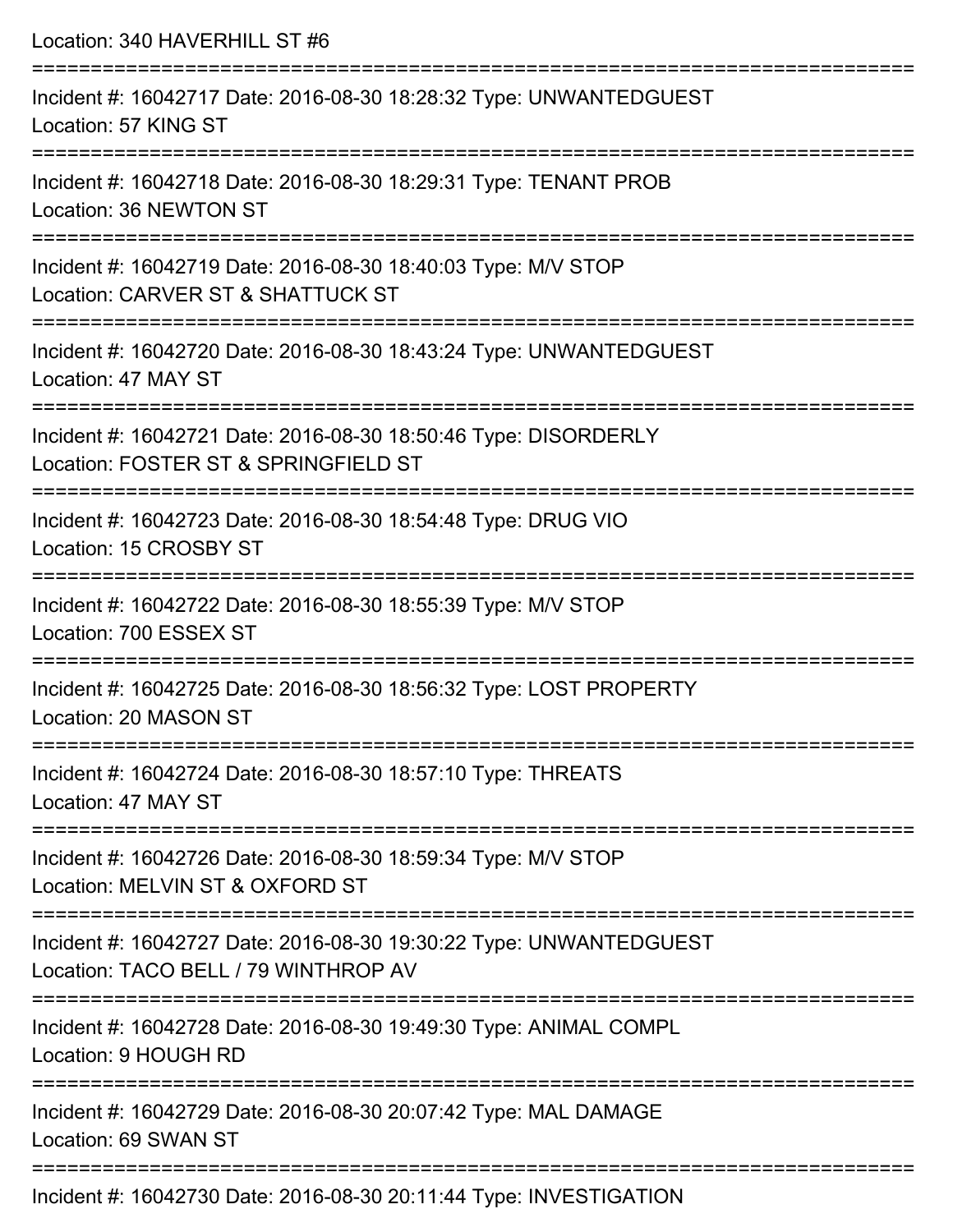| Location: 340 HAVERHILL ST #6                                                                                             |
|---------------------------------------------------------------------------------------------------------------------------|
| Incident #: 16042717 Date: 2016-08-30 18:28:32 Type: UNWANTEDGUEST<br>Location: 57 KING ST<br>=========================== |
| Incident #: 16042718 Date: 2016-08-30 18:29:31 Type: TENANT PROB<br>Location: 36 NEWTON ST                                |
| Incident #: 16042719 Date: 2016-08-30 18:40:03 Type: M/V STOP<br>Location: CARVER ST & SHATTUCK ST                        |
| Incident #: 16042720 Date: 2016-08-30 18:43:24 Type: UNWANTEDGUEST<br>Location: 47 MAY ST                                 |
| Incident #: 16042721 Date: 2016-08-30 18:50:46 Type: DISORDERLY<br>Location: FOSTER ST & SPRINGFIELD ST                   |
| Incident #: 16042723 Date: 2016-08-30 18:54:48 Type: DRUG VIO<br>Location: 15 CROSBY ST                                   |
| Incident #: 16042722 Date: 2016-08-30 18:55:39 Type: M/V STOP<br>Location: 700 ESSEX ST                                   |
| Incident #: 16042725 Date: 2016-08-30 18:56:32 Type: LOST PROPERTY<br>Location: 20 MASON ST                               |
| Incident #: 16042724 Date: 2016-08-30 18:57:10 Type: THREATS<br>Location: 47 MAY ST                                       |
| Incident #: 16042726 Date: 2016-08-30 18:59:34 Type: M/V STOP<br>Location: MELVIN ST & OXFORD ST                          |
| Incident #: 16042727 Date: 2016-08-30 19:30:22 Type: UNWANTEDGUEST<br>Location: TACO BELL / 79 WINTHROP AV                |
| Incident #: 16042728 Date: 2016-08-30 19:49:30 Type: ANIMAL COMPL<br>Location: 9 HOUGH RD                                 |
| Incident #: 16042729 Date: 2016-08-30 20:07:42 Type: MAL DAMAGE<br>Location: 69 SWAN ST                                   |
|                                                                                                                           |

Incident #: 16042730 Date: 2016-08-30 20:11:44 Type: INVESTIGATION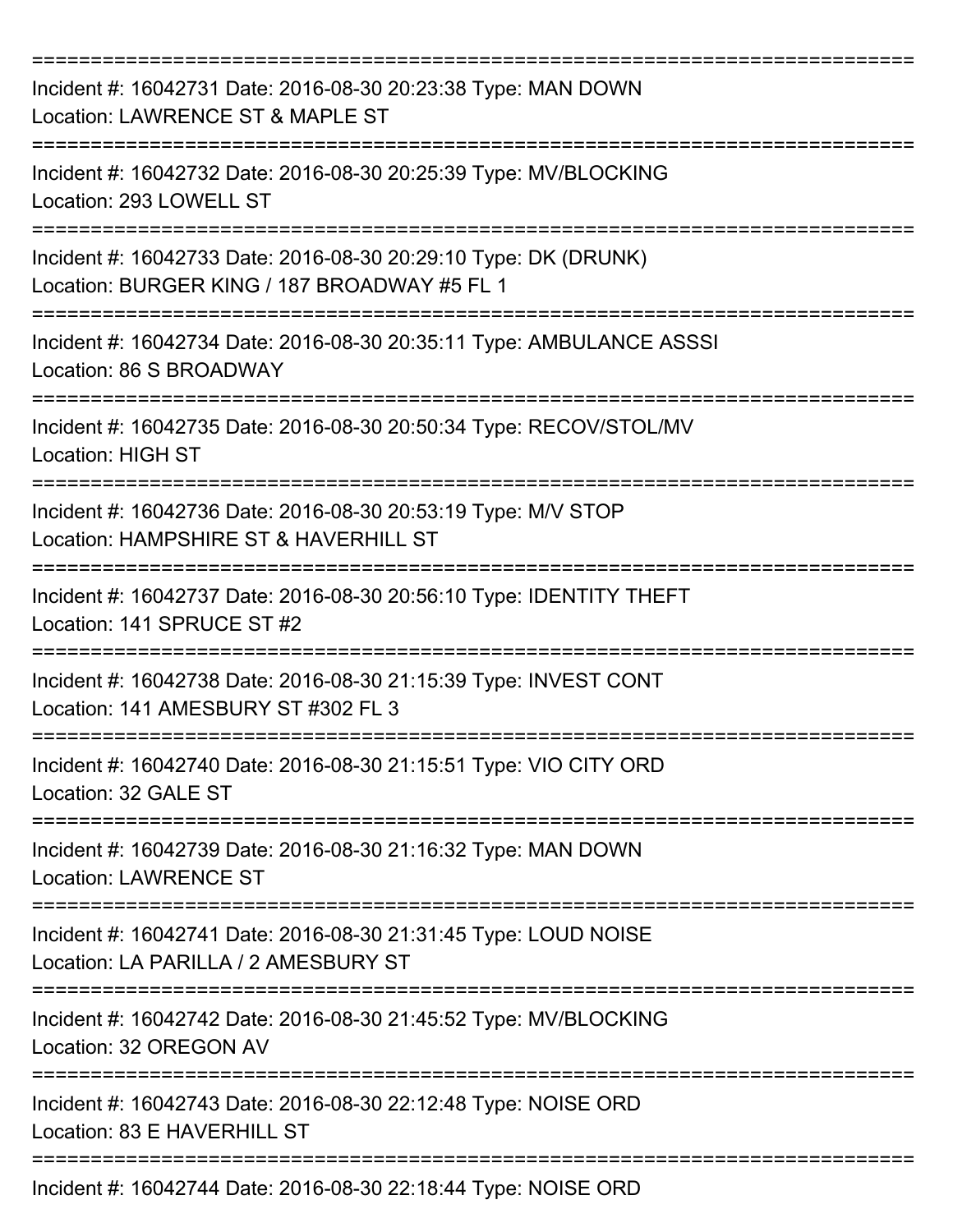| Incident #: 16042731 Date: 2016-08-30 20:23:38 Type: MAN DOWN<br>Location: LAWRENCE ST & MAPLE ST               |
|-----------------------------------------------------------------------------------------------------------------|
| Incident #: 16042732 Date: 2016-08-30 20:25:39 Type: MV/BLOCKING<br>Location: 293 LOWELL ST                     |
| Incident #: 16042733 Date: 2016-08-30 20:29:10 Type: DK (DRUNK)<br>Location: BURGER KING / 187 BROADWAY #5 FL 1 |
| Incident #: 16042734 Date: 2016-08-30 20:35:11 Type: AMBULANCE ASSSI<br>Location: 86 S BROADWAY                 |
| Incident #: 16042735 Date: 2016-08-30 20:50:34 Type: RECOV/STOL/MV<br><b>Location: HIGH ST</b>                  |
| Incident #: 16042736 Date: 2016-08-30 20:53:19 Type: M/V STOP<br>Location: HAMPSHIRE ST & HAVERHILL ST          |
| Incident #: 16042737 Date: 2016-08-30 20:56:10 Type: IDENTITY THEFT<br>Location: 141 SPRUCE ST #2               |
| Incident #: 16042738 Date: 2016-08-30 21:15:39 Type: INVEST CONT<br>Location: 141 AMESBURY ST #302 FL 3         |
| Incident #: 16042740 Date: 2016-08-30 21:15:51 Type: VIO CITY ORD<br>Location: 32 GALE ST                       |
| Incident #: 16042739 Date: 2016-08-30 21:16:32 Type: MAN DOWN<br><b>Location: LAWRENCE ST</b>                   |
| Incident #: 16042741 Date: 2016-08-30 21:31:45 Type: LOUD NOISE<br>Location: LA PARILLA / 2 AMESBURY ST         |
| Incident #: 16042742 Date: 2016-08-30 21:45:52 Type: MV/BLOCKING<br>Location: 32 OREGON AV                      |
| Incident #: 16042743 Date: 2016-08-30 22:12:48 Type: NOISE ORD<br>Location: 83 E HAVERHILL ST                   |
| Incident #: 16042744 Date: 2016-08-30 22:18:44 Type: NOISE ORD                                                  |